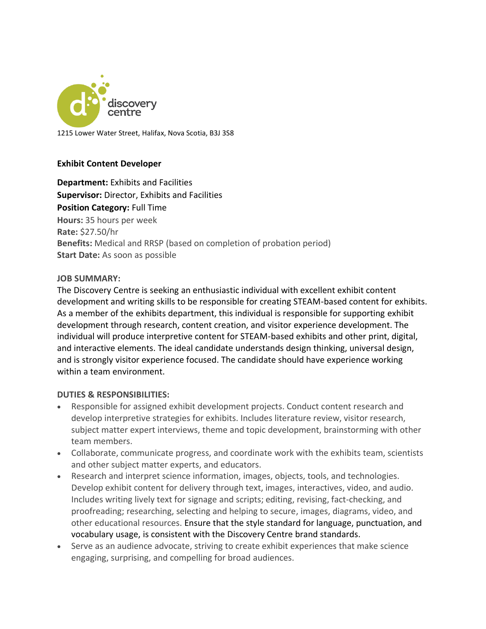

1215 Lower Water Street, Halifax, Nova Scotia, B3J 3S8

### **Exhibit Content Developer**

**Department:** Exhibits and Facilities **Supervisor:** Director, Exhibits and Facilities **Position Category:** Full Time **Hours:** 35 hours per week **Rate:** \$27.50/hr **Benefits:** Medical and RRSP (based on completion of probation period) **Start Date:** As soon as possible

#### **JOB SUMMARY:**

The Discovery Centre is seeking an enthusiastic individual with excellent exhibit content development and writing skills to be responsible for creating STEAM-based content for exhibits. As a member of the exhibits department, this individual is responsible for supporting exhibit development through research, content creation, and visitor experience development. The individual will produce interpretive content for STEAM-based exhibits and other print, digital, and interactive elements. The ideal candidate understands design thinking, universal design, and is strongly visitor experience focused. The candidate should have experience working within a team environment.

#### **DUTIES & RESPONSIBILITIES:**

- Responsible for assigned exhibit development projects. Conduct content research and develop interpretive strategies for exhibits. Includes literature review, visitor research, subject matter expert interviews, theme and topic development, brainstorming with other team members.
- Collaborate, communicate progress, and coordinate work with the exhibits team, scientists and other subject matter experts, and educators.
- Research and interpret science information, images, objects, tools, and technologies. Develop exhibit content for delivery through text, images, interactives, video, and audio. Includes writing lively text for signage and scripts; editing, revising, fact-checking, and proofreading; researching, selecting and helping to secure, images, diagrams, video, and other educational resources. Ensure that the style standard for language, punctuation, and vocabulary usage, is consistent with the Discovery Centre brand standards.
- Serve as an audience advocate, striving to create exhibit experiences that make science engaging, surprising, and compelling for broad audiences.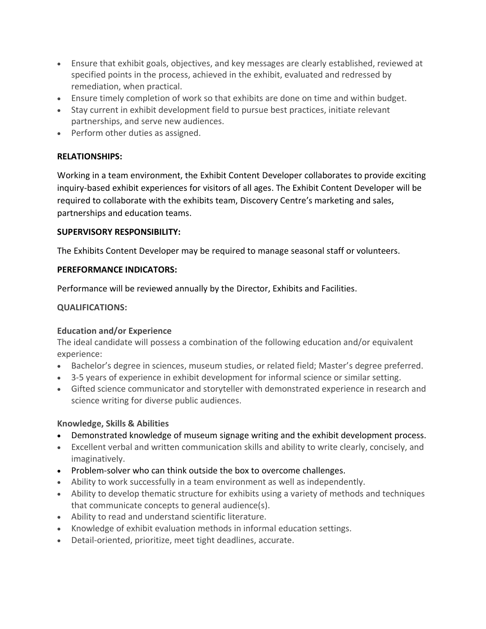- Ensure that exhibit goals, objectives, and key messages are clearly established, reviewed at specified points in the process, achieved in the exhibit, evaluated and redressed by remediation, when practical.
- Ensure timely completion of work so that exhibits are done on time and within budget.
- Stay current in exhibit development field to pursue best practices, initiate relevant partnerships, and serve new audiences.
- Perform other duties as assigned.

# **RELATIONSHIPS:**

Working in a team environment, the Exhibit Content Developer collaborates to provide exciting inquiry-based exhibit experiences for visitors of all ages. The Exhibit Content Developer will be required to collaborate with the exhibits team, Discovery Centre's marketing and sales, partnerships and education teams.

## **SUPERVISORY RESPONSIBILITY:**

The Exhibits Content Developer may be required to manage seasonal staff or volunteers.

### **PEREFORMANCE INDICATORS:**

Performance will be reviewed annually by the Director, Exhibits and Facilities.

## **QUALIFICATIONS:**

## **Education and/or Experience**

The ideal candidate will possess a combination of the following education and/or equivalent experience:

- Bachelor's degree in sciences, museum studies, or related field; Master's degree preferred.
- 3-5 years of experience in exhibit development for informal science or similar setting.
- Gifted science communicator and storyteller with demonstrated experience in research and science writing for diverse public audiences.

## **Knowledge, Skills & Abilities**

- Demonstrated knowledge of museum signage writing and the exhibit development process.
- Excellent verbal and written communication skills and ability to write clearly, concisely, and imaginatively.
- Problem-solver who can think outside the box to overcome challenges.
- Ability to work successfully in a team environment as well as independently.
- Ability to develop thematic structure for exhibits using a variety of methods and techniques that communicate concepts to general audience(s).
- Ability to read and understand scientific literature.
- Knowledge of exhibit evaluation methods in informal education settings.
- Detail-oriented, prioritize, meet tight deadlines, accurate.